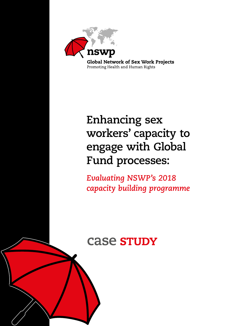

# **Enhancing sex workers' capacity to engage with Global Fund processes:**

*Evaluating NSWP's 2018 capacity building programme*

# case study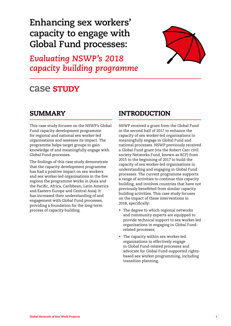# **Enhancing sex workers' capacity to engage with Global Fund processes:**

*Evaluating NSWP's 2018 capacity building programme*



# **Case STUDY**

# SUMMARY

This case study focuses on the NSWP's Global Fund capacity development programme for regional and national sex worker-led organisations and assesses its impact. The programme helps target groups to gain knowledge of and meaningfully engage with Global Fund processes.

The findings of this case study demonstrate that the capacity development programme has had a positive impact on sex workers and sex worker-led organisations in the five regions the programme works in (Asia and the Pacific, Africa, Caribbean, Latin America and Eastern Europe and Central Asia). It has increased their understanding of and engagement with Global Fund processes, providing a foundation for the long-term process of capacity building.

# **INTRODUCTION**

NSWP received a grant from the Global Fund in the second half of 2017 to enhance the capacity of sex worker-led organisations to meaningfully engage in Global Fund and national processes. NSWP previously received a Global Fund grant (via the Robert Carr civil society Networks Fund, known as RCF) from 2015 to the beginning of 2017 to build the capacity of sex worker-led organisations in understanding and engaging in Global Fund processes. The current programme supports a range of activities to continue this capacity building, and involves countries that have not previously benefitted from similar capacity building activities. This case study focuses on the impact of these interventions in 2018, specifically:

- The degree to which regional networks and community experts are equipped to provide technical support to sex worker-led organisations in engaging in Global Fundrelated processes;
- The capacity within sex worker-led organisations to effectively engage in Global Fund-related processes and advocate for Global Fund-supported rightsbased sex worker programming, including transition planning.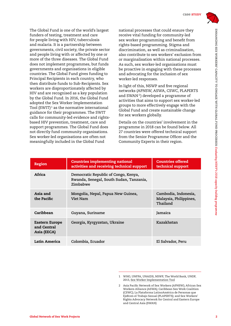

The Global Fund is one of the world's largest funders of testing, treatment and care for people living with HIV, tuberculosis and malaria. It is a partnership between governments, civil society, the private sector and people living with or affected by one or more of the three diseases. The Global Fund does not implement programmes, but funds governments and organisations in eligible countries. The Global Fund gives funding to Principal Recipients in each country, who then distribute funds to Sub-Recipients. Sex workers are disproportionately affected by HIV and are recognised as a key population by the Global Fund. In 2016, the Global Fund adopted the Sex Worker Implementation Tool  $(SWIT)^1$  as the normative international guidance for their programmes. The SWIT calls for community-led evidence and rightsbased HIV prevention, treatment, care and support programmes. The Global Fund does not directly fund community organisations. Sex worker-led organisations are often not meaningfully included in the Global Fund

national processes that could ensure they receive vital funding for community-led sex worker programming and benefit from rights-based programming. Stigma and discrimination, as well as criminalisation, also contribute to sex workers' exclusion from or marginalisation within national processes. As such, sex worker-led organisations must be proactive in engaging with these processes and advocating for the inclusion of sex worker-led responses.

In light of this, NSWP and five regional networks (APNSW, ASWA, CSWC, PLAPERTS and SWAN<sup>2</sup>) developed a programme of activities that aims to support sex worker-led groups to more effectively engage with the Global Fund and create sustainable change for sex workers globally.

Details on the countries' involvement in the programme in 2018 can be found below. All 27 countries were offered technical support from the Senior Programme Officer and the Community Experts in their region.

| Region                                       | <b>Countries implementing national</b><br>activities and receiving technical support        | <b>Countries offered</b><br>technical support              |
|----------------------------------------------|---------------------------------------------------------------------------------------------|------------------------------------------------------------|
| Africa                                       | Democratic Republic of Congo, Kenya,<br>Rwanda, Senegal, South Sudan, Tanzania,<br>Zimbabwe |                                                            |
| Asia and<br>the Pacific                      | Mongolia, Nepal, Papua New Guinea,<br>Viet Nam                                              | Cambodia, Indonesia,<br>Malaysia, Philippines,<br>Thailand |
| Caribbean                                    | Guyana, Suriname                                                                            | Jamaica                                                    |
| Eastern Europe<br>and Central<br>Asia (EECA) | Georgia, Kyrgyzstan, Ukraine                                                                | Kazakhstan                                                 |
| Latin America                                | Colombia, Ecuador                                                                           | El Salvador, Peru                                          |

<sup>1</sup> WHO, UNFPA, UNAIDS, NSWP, The World Bank, UNDP, 2013, [Sex Worker Implementation Tool](https://www.nswp.org/resource/sex-worker-implementation-tool-swit)

<sup>2</sup> Asia Pacific Network of Sex Workers (APNSW); African Sex Workers Alliance (ASWA); Caribbean Sex Work Coalition (CSWC); La Plataforma LatinoAmérica de Personas que EjeRcen el Trabajo Sexual (PLAPERTS); and Sex Workers' Rights Advocacy Network for Central and Eastern Europe and Central Asia (SWAN)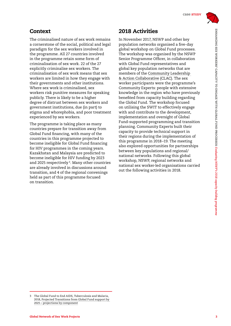# Context

The criminalised nature of sex work remains a cornerstone of the social, political and legal paradigm for the sex workers involved in the programme. All 27 countries involved in the programme retain some form of criminalisation of sex work. 22 of the 27 explicitly criminalise sex workers. The criminalisation of sex work means that sex workers are limited in how they engage with their governments and other institutions. Where sex work is criminalised, sex workers risk punitive measures for speaking publicly. There is likely to be a higher degree of distrust between sex workers and government institutions, due (in part) to stigma and whorephobia, and poor treatment experienced by sex workers.

The programme is taking place as many countries prepare for transition away from Global Fund financing, with many of the countries in this programme projected to become ineligible for Global Fund financing for HIV programmes in the coming years. Kazakhstan and Malaysia are predicted to become ineligible for HIV funding by 2023 and 2025 respectively 3. Many other countries are already involved in discussions around transition, and 4 of the regional convenings held as part of this programme focused on transition.

# 2018 Activities

In November 2017, NSWP and other key population networks organised a five-day global workshop on Global Fund processes. The workshop was organised by the NSWP Senior Programme Officer, in collaboration with Global Fund representatives and global key population networks that are members of the [Community Leadership](http://msmgf.org/about-us/partners/clac-community-leadership-action-collaborative-2/)  [& Action Collaborative](http://msmgf.org/about-us/partners/clac-community-leadership-action-collaborative-2/) (CLAC). The sex worker participants were the programme's Community Experts: people with extensive knowledge in the region who have previously benefited from capacity building regarding the Global Fund. The workshop focused on utilising the SWIT to effectively engage with and contribute to the development, implementation and oversight of Global Fund-supported programming and transition planning. Community Experts built their capacity to provide technical support in their regions during the implementation of this programme in 2018–19. The meeting also explored opportunities for partnerships between key populations and regional/ national networks. Following this global workshop, NSWP, regional networks and national sex worker-led organisations carried out the following activities in 2018.

<sup>3</sup> The Global Fund to End AIDS, Tuberculosis and Malaria, 2018, [Projected Transitions from Global Fund support by](https://www.theglobalfund.org/media/5641/core_projectedtransitionsby2025_list_en.pdf?u=636822059890000000)  [2025 – projections by component](https://www.theglobalfund.org/media/5641/core_projectedtransitionsby2025_list_en.pdf?u=636822059890000000)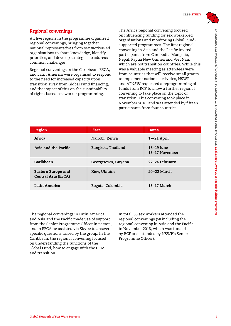

### *Regional convenings*

All five regions in the programme organised regional convenings, bringing together national representatives from sex worker-led organisations to share knowledge, identify priorities, and develop strategies to address common challenges.

Regional convenings in the Caribbean, EECA, and Latin America were organised to respond to the need for increased capacity upon transition away from Global Fund financing, and the impact of this on the sustainability of rights-based sex worker programming.

The Africa regional convening focused on influencing funding for sex worker-led organisations and monitoring Global Fundsupported programmes. The first regional convening in Asia and the Pacific invited participants from Cambodia, Mongolia, Nepal, Papua New Guinea and Viet Nam, which are not transition countries. While this was a valuable meeting as attendees were from countries that will receive small grants to implement national activities, NSWP and APNSW requested a reprogramming of funds from RCF to allow a further regional convening to take place on the topic of transition. This convening took place in November 2018, and was attended by fifteen participants from four countries.

| <b>Region</b>                                           | Place              | <b>Dates</b>                 |
|---------------------------------------------------------|--------------------|------------------------------|
| Africa                                                  | Nairobi, Kenya     | 17-21 April                  |
| Asia and the Pacific                                    | Bangkok, Thailand  | 18-19 June<br>15-17 November |
| Caribbean                                               | Georgetown, Guyana | 22-24 February               |
| <b>Eastern Europe and</b><br><b>Central Asia (EECA)</b> | Kiev, Ukraine      | $20-22$ March                |
| Latin America                                           | Bogota, Colombia   | 15–17 March                  |

The regional convenings in Latin America and Asia and the Pacific made use of support from the Senior Programme Officer in person, and in EECA he assisted via Skype to answer specific questions raised by the group. In the Caribbean, the regional convening focused on understanding the functions of the Global Fund, how to engage with the CCM, and transition.

In total, 53 sex workers attended the regional convenings (68 including the regional convening in Asia and the Pacific in November 2018, which was funded by RCF and attended by NSWP's Senior Programme Officer).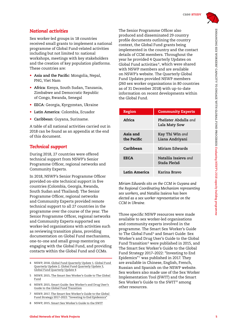

### *National activities*

Sex worker-led groups in 18 countries received small grants to implement a national programme of Global Fund-related activities including but not limited to: national workshops, meetings with key stakeholders and the creation of key population platforms. These countries are:

- **Asia and the Pacific**: Mongolia, Nepal, PNG, Viet Nam
- **Africa**: Kenya, South Sudan, Tanzania, Zimbabwe and Democratic Republic of Congo, Rwanda, Senegal
- **EECA**: Georgia, Kyrgyzstan, Ukraine
- **Latin America**: Colombia, Ecuador
- **Caribbean**: Guyana, Suriname.

A table of all national activities carried out in 2018 can be found as an appendix at the end of this document.

#### *Technical support*

During 2018, 27 countries were offered technical support from NSWP's Senior Programme Officer, regional networks and Community Experts.

In 2018, NSWP's Senior Programme Officer provided on-site technical support in five countries (Colombia, Georgia, Rwanda, South Sudan and Thailand). The Senior Programme Officer, regional networks and Community Experts provided remote technical support to all 27 countries in the programme over the course of the year. The Senior Programme Officer, regional networks and Community Experts supported sex worker-led organisations with activities such as reviewing transition plans, providing documentation on Global Fund mechanisms, one-to-one and small group mentoring on engaging with the Global Fund, and providing contacts within the Global Fund and CCMs.

- 7 NSWP, 2017, [The Smart Sex Worker's Guide to the Global](https://www.nswp.org/resource/the-smart-sex-workers-guide-the-global-fund-strategy-2017-2022-investing-end-epidemics)  [Fund Strategy 2017–2022: "Investing to End Epidemics"](https://www.nswp.org/resource/the-smart-sex-workers-guide-the-global-fund-strategy-2017-2022-investing-end-epidemics)
- 8 NSWP, 2015, [Smart Sex Worker's Guide to the SWIT](https://www.nswp.org/resource/the-smart-sex-worker-s-guide-swit)

The Senior Programme Officer also produced and disseminated 29 country profile documents outlining the country context, the Global Fund grants being implemented in the country and the contact details of CCM members. Throughout the year he provided 4 Quarterly Updates on Global Fund activities 4, which were shared with NSWP members and are available on NSWP's website. The Quarterly Global Fund Updates provided NSWP members (260 sex worker organisations in 80 countries as of 31 December 2018) with up-to-date information on recent developments within the Global Fund.

| <b>Region</b>           | <b>Community Experts</b>               |
|-------------------------|----------------------------------------|
| Africa                  | Phelister Abdalla and<br>Lala Maty Sow |
| Asia and<br>the Pacific | Kay Thi Win and<br>Liana Andriyani     |
| Caribbean               | Miriam Edwards                         |
| EECA                    | Natalija Isajeva and<br>Staša Plećaš   |
| Latin America           | Karina Bravo                           |

*Miriam Edwards sits on the CCM in Guyana and the Regional Coordinating Mechanism representing sex workers, and Nataliia Isaieva has been elected as a sex worker representative on the CCM in Ukraine.* 

Three specific NSWP resources were made available to sex worker-led organisations and community experts involved in the programme. The Smart Sex Worker's Guide to The Global Fund<sup>5</sup> and Smart Guide: Sex Worker's and Drug User's Guide to the Global Fund Transition<sup>6</sup> were published in 2015, and The Smart Sex Worker's Guide to the Global Fund Strategy 2017–2022: "Investing to End Epidemics"7 was published in 2017. They are available in Chinese, English, French, Russian and Spanish on the NSWP website. Sex workers also made use of the Sex Worker Implementation Tool (SWIT) and the Smart Sex Worker's Guide to the SWIT<sup>8</sup> among other resources.

<sup>4</sup> NSWP, 2018, [Global Fund Quarterly Update 1,](https://www.nswp.org/resource/global-fund-quarterly-update-1-2018) [Global Fund](https://www.nswp.org/resource/global-fund-quarterly-update-2-2018)  [Quarterly Update 2](https://www.nswp.org/resource/global-fund-quarterly-update-2-2018), [Global Fund Quarterly Update 3,](https://www.nswp.org/resource/global-fund-quarterly-update-3-2018) [Global Fund Quarterly Update 4](https://www.nswp.org/resource/global-fund-quarterly-update-4-2018)

<sup>5</sup> NSWP, 2015, [The Smart Sex Worker's Guide to The Global](https://www.nswp.org/resource/the-smart-sex-workers-guide-the-global-fund)  [Fund](https://www.nswp.org/resource/the-smart-sex-workers-guide-the-global-fund)

<sup>6</sup> NSWP, 2015, [Smart Guide: Sex Worker's and Drug User's](https://www.nswp.org/resource/smart-guide-sex-workers-and-drug-users-guide-the-global-fund-transition)  [Guide to the Global Fund Transition](https://www.nswp.org/resource/smart-guide-sex-workers-and-drug-users-guide-the-global-fund-transition)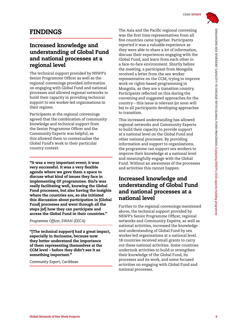

# FINDINGS

# Increased knowledge and understanding of Global Fund and national processes at a regional level

The technical support provided by NSWP's Senior Programme Officer as well as the regional convenings provided information on engaging with Global Fund and national processes and allowed regional networks to build their capacity in providing technical support to sex worker-led organisations in their regions.

Participants at the regional convenings agreed that the combination of community knowledge and technical support from the Senior Programme Officer and the Community Experts was helpful, as this allowed them to contextualise the Global Fund's work to their particular country context.

"It was a very important event; it was very successful. It was a very flexible agenda where we gave them a space to discuss what kind of issues they face in implementing GF programmes. Sta?a was really facilitating well, knowing the Global Fund processes, but also having the insights where the countries are, so she initiated this discussion about participation in [Global Fund] processes and went through all the steps [of] how they can participate and access the Global Fund in their countries."

*Programme Officer, SWAN (EECA)*

"[The technical support] had a great impact, especially in Suriname, because now they better understand the importance of them representing themselves at the CCM level – before they didn't see it as something important."

*Community Expert, Caribbean*

The Asia and the Pacific regional convening was the first time representatives from all five countries came together. Participants reported it was a valuable experience as they were able to share a lot of information, discuss their experiences engaging with the Global Fund, and learn from each other in a face-to-face environment. Shortly before the meeting, a participant from Mongolia received a letter from the sex worker representative on the CCM, trying to improve work on rights-based programming in Mongolia, as they are a transition country. Participants reflected on this during the convening and suggested approaches for the country – this issue is relevant (or soon will be) to all participants developing approaches to transition.

This increased understanding has allowed regional networks and Community Experts to build their capacity to provide support at a national level on the Global Fund and other national processes. By providing information and support to organisations, the programme can support sex workers to improve their knowledge at a national level and meaningfully engage with the Global Fund. Without an awareness of the processes and activities this cannot happen.

# Increased knowledge and understanding of Global Fund and national processes at a national level

Further to the regional convenings mentioned above, the technical support provided by NSWP's Senior Programme Officer, regional networks and Community Experts, as well as national activities, increased the knowledge and understanding of Global Fund by sex worker-led organisations at a national level. 18 countries received small grants to carry out these national activities. Some countries undertook activities to build or strengthen their knowledge of the Global Fund, its processes and its work, and some focused activities on engaging with Global Fund and national processes.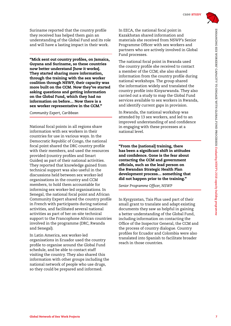

Suriname reported that the country profile they received has helped them gain an understanding of the Global Fund and its role and will have a lasting impact in their work.

"Mick sent out country profiles, on Jamaica, Guyana and Suriname, so these countries now better understand [how it works]. They started sharing more information, through the training with the sex worker coalition through NSWP, their capacity was more built on the CCM. Now they've started asking questions and getting information on the Global Fund, which they had no information on before… Now there is a sex worker representative in the CCM."

#### *Community Expert, Caribbean*

National focal points in all regions share information with sex workers in their countries for use in various ways. In the Democratic Republic of Congo, the national focal point shared the DRC country profile with their members, and used the resources provided (country profiles and Smart Guides) as part of their national activities. They reported that knowledge gained from technical support was also useful in the discussions held between sex worker-led organisations in the country and CCM members, to hold them accountable for informing sex worker-led organisations. In Senegal, the national focal point and African Community Expert shared the country profile in French with participants during national activities, and facilitated several national activities as part of her on-site technical support to the Francophone African countries involved in the programme (DRC, Rwanda and Senegal).

In Latin America, sex worker-led organisations in Ecuador used the country profile to organise around the Global Fund schedule, and be able to contact staff visiting the country. They also shared this information with other groups including the national network of people who use drugs, so they could be prepared and informed.

In EECA, the national focal point in Kazakhstan shared information and materials she received from NSWP's Senior Programme Officer with sex workers and partners who are actively involved in Global Fund processes.

The national focal point in Rwanda used the country profile she received to contact a member of the CCM; she also shared information from the country profile during national workshops. The group shared the information widely and translated the country profile into Kinyarwanda. They also carried out a study to map the Global Fund services available to sex workers in Rwanda, and identify current gaps in provision.

In Rwanda, the national workshop was attended by 13 sex workers, and led to an improved understanding of and confidence in engaging with these processes at a national level.

"From the [national] training, there has been a significant shift in attitudes and confidence. Gone is the fear about contacting the CCM and government officials, such as the lead person on the Rwandan Strategic Health Plan development process… something that did not happen prior to the training."

*Senior Programme Officer, NSWP*

In Kyrgyzstan, Tais Plus used part of their small grant to translate and adapt existing documents they saw as helpful in gaining a better understanding of the Global Fund, including information on contacting the Office of the Inspector General, the CCM and the process of country dialogue. Country profiles for Ecuador and Colombia were also translated into Spanish to facilitate broader reach in those countries.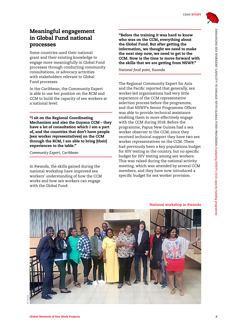

ENHANCING SEX WORKERS' CAPACITY TO ENGAGE WITH GLOBAL FUND PROCESSES:

ENHANGING SEX WORKERS' CAPACITY TO ENGAGE WITH GLOBAL FUND PROCESSES: Evaluating NSWP's 2018 capacity building programme

*Evaluating NSWP's 2018 capacity*

*building programme*

# Meaningful engagement in Global Fund national processes

Some countries used their national grant and their existing knowledge to engage more meaningfully in Global Fund processes through conducting community consultations, or advocacy activities with stakeholders relevant to Global Fund processes.

In the Caribbean, the Community Expert is able to use her position on the RCM and CCM to build the capacity of sex workers at a national level:

"I sit on the Regional Coordinating Mechanism and also the Guyana CCM – they have a lot of consultation which I am a part of, and the countries that don't have people [sex worker representatives] on the CCM through the RCM, I am able to bring [their] experiences to the table."

*Community Expert, Caribbean*

In Rwanda, the skills gained during the national workshop have improved sex workers' understanding of how the CCM works and how sex workers can engage with the Global Fund:

"Before the training it was hard to know who was on the CCM, everything about the Global Fund. But after getting the information, we thought we need to make the next step now, we need to get to the CCM. Now is the time to move forward with the skills that we are getting from NSWP."

*National focal point, Rwanda* 

The Regional Community Expert for Asia and the Pacific reported that generally, sex worker-led organisations had very little experience of the CCM representative selection process before the programme, and that NSWP's Senior Programme Officer was able to provide technical assistance enabling them to more effectively engage with the CCM during 2018. Before the programme, Papua New Guinea had a sex worker observer to the CCM; since they received technical support they have two sex worker representatives on the CCM. There had previously been a key populations budget for HIV testing in the country, but no specific budget for HIV testing among sex workers. This was raised during the national activity meeting, which was attended by several CCM members, and they have now introduced a specific budget for sex worker provision.



**National workshop in Rwanda**

**<sup>©</sup> FADA**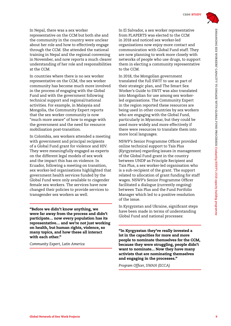

In Nepal, there was a sex worker representative on the CCM but both she and the community in the country were unclear about her role and how to effectively engage through the CCM. She attended the national training in Nepal and the regional convening in November, and now reports a much clearer understanding of her role and responsibilities at the CCM.

In countries where there is no sex worker representative on the CCM, the sex worker community has become much more involved in the process of engaging with the Global Fund and with the government following technical support and regional/national activities. For example, in Malaysia and Mongolia, the Community Expert reports that the sex worker community is now "much more aware" of how to engage with the government and the need for resource mobilisation post-transition.

In Colombia, sex workers attended a meeting with government and principal recipients of a Global Fund grant for violence and HIV. They were meaningfully engaged as experts on the different legal models of sex work and the impact this has on violence. In Ecuador, following a meeting on transition, sex worker-led organisations highlighted that government health services funded by the Global Fund were only available to cisgender female sex workers. The services have now changed their policies to provide services to transgender sex workers as well.

"Before we didn't know anything, we were far away from the process and didn't participate… now every population has its representative… and we're not just working on health, but human rights, violence, so many topics, and how these all interact with each other."

*Community Expert, Latin America*

In El Salvador, a sex worker representative from PLAPERTS was elected to the CCM in 2018 and noticed sex worker-led organisations now enjoy more contact and communication with Global Fund staff. They are now planning to work more closely with networks of people who use drugs, to support them in electing a community representative to the CCM.

In 2018, the Mongolian government translated the full SWIT to use as part of their strategic plan, and The Smart Sex Worker's Guide to SWIT was also translated into Mongolian for use among sex workerled organisations. The Community Expert in the region reported these resources are being used in other countries by sex workers who are engaging with the Global Fund, particularly in Myanmar, but they could be used more widely and more effectively if there were resources to translate them into more local languages.

NSWP's Senior Programme Officer provided online technical support to Tais Plus (Kyrgyzstan) regarding issues in management of the Global Fund grant in the country between UNDP as Principle Recipient and Tais Plus, a sex worker-led organisation who is a sub-recipient of the grant. The support related to allocation of grant funding for staff wages. NSWP's Senior Programme Officer facilitated a dialogue (currently ongoing) between Tais Plus and the Fund Portfolio Manager which led to a positive resolution of the issue.

In Kyrgyzstan and Ukraine, significant steps have been made in terms of understanding Global Fund and national processes:

"In Kyrgyzstan they've really invested a lot in the capacities for more and more people to nominate themselves for the CCM, because they were struggling, people didn't want to nominate... Now they have many activists that are nominating themselves and engaging in the processes."

*Program Officer, SWAN (ECCA)*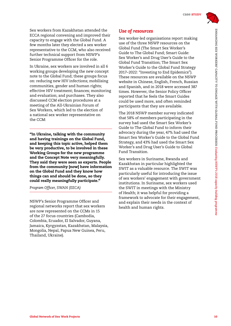Sex workers from Kazakhstan attended the ECCA regional convening and improved their capacity to engage with the Global Fund. A few months later they elected a sex worker representative to the CCM, who also received further technical support from NSWP's Senior Programme Officer for the role.

In Ukraine, sex workers are involved in all 6 working groups developing the new concept note to the Global Fund; these groups focus on: reducing new HIV infections; mobilising communities, gender and human rights; effective HIV treatment; finances; monitoring and evaluation; and purchases. They also discussed CCM election procedures at a meeting of the All-Ukrainian Forum of Sex Workers, which led to the election of a national sex worker representative on the CCM:

"In Ukraine, talking with the community and having trainings on the Global Fund, and keeping this topic active, helped them be very productive, to be involved in these Working Groups for the new programme and the Concept Note very meaningfully. They said they were seen as experts. People from the community [now] have information on the Global Fund and they know how things can and should be done, so they could really meaningfully participate."

*Program Officer, SWAN (EECA)*

NSWP's Senior Programme Officer and regional networks report that sex workers are now represented on the CCMs in 15 of the 27 focus countries (Cambodia, Colombia, Ecuador, El Salvador, Guyana, Jamaica, Kyrgyzstan, Kazakhstan, Malaysia, Mongolia, Nepal, Papua New Guinea, Peru, Thailand, Ukraine).

# *Use of resources*

Sex worker-led organisations report making use of the three NSWP resources on the Global Fund (The Smart Sex Worker's Guide to The Global Fund; Smart Guide: Sex Worker's and Drug User's Guide to the Global Fund Transition; The Smart Sex Worker's Guide to the Global Fund Strategy 2017–2022: "Investing to End Epidemics"). These resources are available on the NSWP website in Chinese, English, French, Russian and Spanish, and in 2018 were accessed 387 times. However, the Senior Policy Officer reported that he feels the Smart Guides could be used more, and often reminded participants that they are available.

The 2018 NSWP member survey indicated that 58% of members participating in the survey had used the Smart Sex Worker's Guide to The Global Fund to inform their advocacy during the year, 47% had used the Smart Sex Worker's Guide to the Global Fund Strategy, and 43% had used the Smart Sex Worker's and Drug User's Guide to Global Fund Transition.

Sex workers in Suriname, Rwanda and Kazakhstan in particular highlighted the SWIT as a valuable resource. The SWIT was particularly useful for introducing the issue of sex workers' engagement with government institutions. In Suriname, sex workers used the SWIT in meetings with the Ministry of Health; it was helpful for providing a framework to advocate for their engagement, and explain their needs in the context of health and human rights.

*building programme*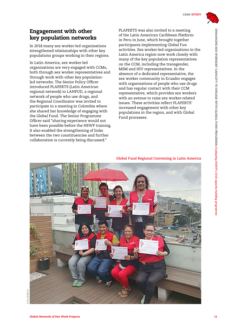

# Engagement with other key population networks

In 2018 many sex worker-led organisations strengthened relationships with other key populations groups working in their regions.

In Latin America, sex worker-led organisations are very engaged with CCMs, both through sex worker representatives and through work with other key populationled networks. The Senior Policy Officer introduced PLAPERTS (Latin American regional network) to LANPUD, a regional network of people who use drugs, and the Regional Coordinator was invited to participate in a meeting in Colombia where she shared her knowledge of engaging with the Global Fund. The Senior Programme Officer said "sharing experience would not have been possible before the NSWP training. It also enabled the strengthening of links between the two constituencies and further collaboration is currently being discussed."

PLAPERTS was also invited to a meeting of the Latin American Caribbean Platform in Peru in June, which brought together participants implementing Global Fun activities. Sex worker-led organisations in the Latin America region now work closely with many of the key population representatives on the CCM, including the transgender, MSM and HIV representatives. In the absence of a dedicated representative, the sex worker community in Ecuador engages with organisations of people who use drugs and has regular contact with their CCM representative, which provides sex workers with an avenue to raise sex worker-related issues. These activities reflect PLAPERTS' increased engagement with other key populations in the region, and with Global Fund processes.

#### **Global Fund Regional Convening in Latin America**



PI.APERTS **© PLAPERTS**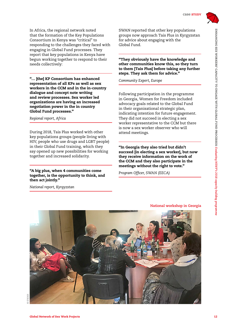

In Africa, the regional network noted that the formation of the Key Populations Consortium in Kenya was "critical" to responding to the challenges they faced with engaging in Global Fund processes. They report that key populations in Kenya have begun working together to respond to their needs collectively:

"… [the] KP Consortium has enhanced representation of all KPs as well as sex workers in the CCM and in the in-country dialogue and concept note writing and review processes. Sex worker led organizations are having an increased negotiation power in the in country Global Fund processes."

#### *Regional report, Africa*

During 2018, Tais Plus worked with other key populations groups (people living with HIV, people who use drugs and LGBT people) in their Global Fund training, which they say opened up new possibilities for working together and increased solidarity.

#### "A big plus, when 4 communities come together, is the opportunity to think, and then act jointly."

*National report, Kyrgyzstan*

SWAN reported that other key populations groups now approach Tais Plus in Kyrgyzstan for advice about engaging with the Global Fund.

"They obviously have the knowledge and other communities know this, so they turn to them [Tais Plus] before taking any further steps. They ask them for advice."

*Community Expert, Europe*

Following participation in the programme in Georgia, Women for Freedom included advocacy goals related to the Global Fund in their organisational strategic plan, indicating intention for future engagement. They did not succeed in electing a sex worker representative to the CCM but there is now a sex worker observer who will attend meetings.

"In Georgia they also tried but didn't succeed [in electing a sex worker], but now they receive information on the work of the CCM and they also participate in the meetings without the right to vote."

**National workshop in Georgia**

*Program Officer, SWAN (EECA)*

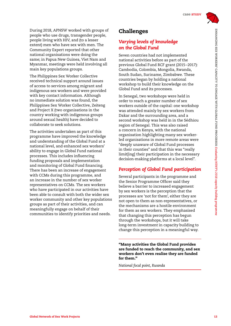During 2018, APNSW worked with groups of people who use drugs, transgender people, people living with HIV, and (to a lesser extent) men who have sex with men. The Community Expert reported that other national organisations were doing the same; in Papua New Guinea, Viet Nam and Myanmar, meetings were held involving all main key populations groups.

The Philippines Sex Worker Collective received technical support around issues of access to services among migrant and indigenous sex workers and were provided with key contact information. Although no immediate solution was found, the Philippines Sex Worker Collective, Zeiteng and Project X (two organisations in the country working with indigenous groups around sexual health) have decided to collaborate to seek solutions.

The activities undertaken as part of this programme have improved the knowledge and understanding of the Global Fund at a national level, and enhanced sex workers' ability to engage in Global Fund national processes. This includes influencing funding proposals and implementation and monitoring of Global Fund financing. There has been an increase of engagement with CCMs during this programme, and an increase in the number of sex worker representatives on CCMs. The sex workers who have participated in our activities have been able to consult with both the wider sex worker community and other key populations groups as part of their activities, and can meaningfully engage on behalf of their communities to identify priorities and needs.

# Challenges

### *Varying levels of knowledge on the Global Fund*

Seven countries had not implemented national activities before as part of the previous Global Fund RCF grant (2015–2017): Cambodia, Colombia, Mongolia, Rwanda, South Sudan, Suriname, Zimbabwe. These countries began by holding a national workshop to build their knowledge on the Global Fund and its processes.

In Senegal, two workshops were held in order to reach a greater number of sex workers outside of the capital: one workshop was attended mainly by sex workers from Dakar and the surrounding area, and a second workshop was held in in the Sédhiou region of Senegal. This was also raised a concern in Kenya, with the national organisation highlighting many sex workerled organisations in more remote areas were "deeply unaware of Global Fund processes in their counties" and that this was "really limit[ing] their participation in the necessary decision-making platforms at a local level".

### *Perception of Global Fund participation*

Several participants in the programme and the Senior Programme Officer said they believe a barrier to increased engagement by sex workers is the perception that the processes are 'not for them', either they are not open to them as non-representatives, or the mechanisms are a hostile environment for them as sex workers. They emphasised that changing this perception has begun through the workshops, but it will take long-term investment in capacity building to change this perception in a meaningful way.

"Many activities the Global Fund provides are funded to reach the community, and sex workers don't even realise they are funded for them."

*National focal point, Rwanda*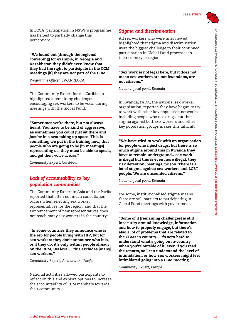In ECCA, participation in NSWP's programme has helped to partially change this perception:

"We found out [through the regional convening] for example, in Georgia and Kazakhstan they didn't even know that they had the right to participate in the CCM meetings [if] they are not part of the CCM."

*Programme Officer, SWAN (ECCA)*

The Community Expert for the Caribbean highlighted a remaining challenge: encouraging sex workers to be vocal during meetings with the Global Fund:

"Sometimes we're there, but not always heard. You have to be kind of aggressive, as sometimes you could just sit there and just be in a seat taking up space. This is something we put in the training now, that people who are going to be [in meetings] representing us, they must be able to speak, and get their voice across."

*Community Expert, Caribbean*

# *Lack of accountability to key population communities*

The Community Expert in Asia and the Pacific reported that often not much consultation occurs when selecting sex worker representatives for the region, and that the announcement of new representatives does not reach many sex workers in the country:

"In some countries they announce who is the rep for people living with HIV, but for sex workers they don't announce who it is, or if they do, it's only within people already on the CCM, UN level… this excludes [many] sex workers."

*Community Expert, Asia and the Pacific*

National activities allowed participants to reflect on this and explore options to increase the accountability of CCM members towards their community.

# *Stigma and discrimination*

All sex workers who were interviewed highlighted that stigma and discrimination were the biggest challenge to their continued participation in Global Fund processes in their country or region.

#### "Sex work is not legal here, but it does not mean sex workers are not Rwandans, are not citizens."

*National focal point, Rwanda*

In Rwanda, FADA, the national sex worker organisation, reported they have begun to try to work with other key population networks, including people who use drugs, but that stigma against both sex workers and other key population groups makes this difficult.

"We have tried to work with an organisation for people who inject drugs, but there is so much stigma around this in Rwanda they have to remain underground…sex work is illegal but this is even more illegal, they risk detention, beatings, prison. There is a lot of stigma against sex workers and LGBT people. We are uncounted citizens."

*National focal point, Rwanda*

For some, institutionalised stigma means there are still barriers to participating in Global Fund meetings with government.

"Some of it [remaining challenges] is still insecurity around knowledge, information and how to properly engage, but there's also a lot of problems that are related to the CCMs in country... It's very hard to understand what's going on in-country when you're outside of it, even if you read the reports, so I can understand the level of intimidation, or how sex workers might feel intimidated going into a CCM meeting."

*Community Expert, Europe*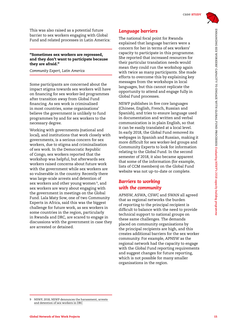This was also raised as a potential future barrier to sex workers engaging with Global Fund and related processes in Latin America:

#### "Sometimes sex workers are repressed, and they don't want to participate because they are afraid."

*Community Expert, Latin America*

Some participants are concerned about the impact stigma towards sex workers will have on financing for sex worker-led programmes after transition away from Global Fund financing. As sex work is criminalised in most countries, some organisations' believe the government is unlikely to fund programmes by and for sex workers to the necessary degree.

Working with governments (national and local), and institutions that work closely with governments, is a serious concern for sex workers, due to stigma and criminalisation of sex work. In the Democratic Republic of Congo, sex workers reported that the workshop was helpful, but afterwards sex workers raised concerns about future work with the government while sex workers are so vulnerable in the country. Recently there was large-scale arrests and detention of sex workers and other young women<sup>9</sup>, and sex workers are wary about engaging with the government in meetings on the Global Fund. Lala Maty Sow, one of two Community Experts in Africa, said this was the biggest challenge for future work, as sex workers in some countries in the region, particularly in Rwanda and DRC, are scared to engage in discussions with the government in case they are arrested or detained.

### *Language barriers*

The national focal point for Rwanda explained that language barriers were a concern for her in terms of sex workers' capacity to participate in this programme. She reported that increased resources for their particular translation needs would mean they could run the workshop again with twice as many participants. She made efforts to overcome this by explaining key messages from the workshops in local languages, but this cannot replicate the opportunity to attend and engage fully in Global Fund processes.

NSWP publishes in five core languages (Chinese, English, French, Russian and Spanish), and tries to ensure language used in documentation and written and verbal communication is in plain English, so that it can be easily translated at a local level. In early 2018, the Global Fund removed its webpages in Spanish and Russian, making it more difficult for sex worker-led groups and Community Experts to look for information relating to the Global Fund. In the second semester of 2018, it also became apparent that some of the information (for example, lists of CCM members) on the Global Fund website was not up-to-date or complete.

### *Barriers to working with the community*

APNSW, ASWA, CSWC and SWAN all agreed that as regional networks the burden of reporting to the principal recipient is difficult to balance with the need to provide technical support to national groups on these same challenges. The demands placed on community organisations by the principal recipients are high, and this creates additional barriers for the sex worker community. For example, APNSW as the regional network had the capacity to engage with the Global Fund reporting requirements and suggest changes for future reporting, which is not possible for many smaller organisations in the region.

<sup>9</sup> NSWP, 2018, [NSWP denounces the harassment, arrests](https://www.nswp.org/resource/nswp-denounces-the-harassment-arrests-and-detention-sex-workers-drc)  [and detention of sex workers in DRC](https://www.nswp.org/resource/nswp-denounces-the-harassment-arrests-and-detention-sex-workers-drc)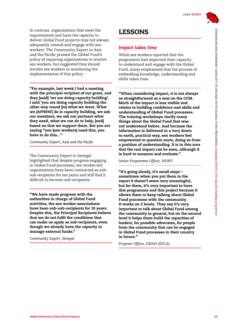In contrast, organisations that meet the requirements and have the capacity to deliver Global Fund projects may not always adequately consult and engage with sex workers. The Community Expert in Asia and the Pacific praised the Global Fund's policy of requiring organisations to involve sex workers, but suggested they should involve sex workers in monitoring the implementation of this policy:

"For example, last week I had a meeting with the principal recipient of our grant, and they [said] 'we are doing capacity building'. I said 'you are doing capacity building the other way round [to] what we want. What we [APNSW] do is capacity building, we ask our members, we ask our partners what they need, what we can do to help, [and] based on that we support them. But you are saying "you [sex workers] need this, you have to do this…"

*Community Expert, Asia and the Pacific*

The Community Expert in Senegal highlighted that despite progress engaging in Global Fund processes, sex worker-led organisations have been contracted as subsub-recipients for ten years and still find it difficult to become sub-recipients.

"We have made progress with the authorities in charge of Global Fund activities, the sex worker associations have been sub-sub-recipients for 10 years. Despite this, the Principal Recipients believe that we do not fulfil the conditions that can make us apply as sub-recipients, even though we already have the capacity to manage external funds."

*Community Expert, Senegal*

# LESSONS

### *Impact takes time*

While sex workers reported that the programme had improved their capacity to understand and engage with the Global Fund, many emphasised that the process of embedding knowledge, understanding and skills takes time.

"When considering impact, it is not always as straightforward as a seat on the CCM. Much of the impact is less visible and relates to building confidence and skills and understanding of Global Fund processes. The training workshops clarify many things about the Global Fund that was not understood before. And because the information is delivered in a very down to earth, practical way, sex workers feel empowered to question more, doing so from a position of understanding. It is in this area that the real impact can be seen, although it is hard to measure and evaluate."

*Senior Programme Officer, NSWP*

"It's going slowly, it's small steps – sometimes when you put them in the report it doesn't seem very meaningful, but for them, it's very important to have this programme and this project because it allows them to keep talking about Global Fund processes with the community. It works on 2 levels. They say it's very important to talk about Global Fund among the community in general, but on the second level it helps them build the capacities of leaders, for possible advocates, for people from the community that can be engaged in Global Fund processes in their country in future."

*Program Officer, SWAN (EECA)*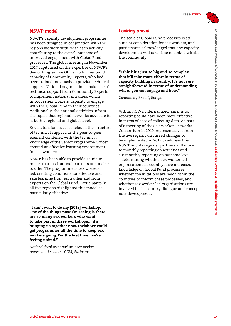### *NSWP model*

NSWP's capacity development programme has been designed in conjunction with the regions we work with, with each activity contributing to the overall outcome of improved engagement with Global Fund processes. The global meeting in November 2017 capitalised on the expertise of NSWP's Senior Programme Officer to further build capacity of Community Experts, who had been trained previously to provide technical support. National organisations make use of technical support from Community Experts to implement national activities, which improves sex workers' capacity to engage with the Global Fund in their countries. Additionally, the national activities inform the topics that regional networks advocate for at both a regional and global level.

Key factors for success included the structure of technical support, as the peer-to-peer element combined with the technical knowledge of the Senior Programme Officer created an effective learning environment for sex workers.

NSWP has been able to provide a unique model that institutional partners are unable to offer. The programme is sex workerled, creating conditions for effective and safe learning from each other and from experts on the Global Fund. Participants in all five regions highlighted this model as particularly effective:

"I can't wait to do my [2019] workshop. One of the things now I'm seeing is there are so many sex workers who want to take part in these workshops… it's bringing us together now. I wish we could get programmes all the time to keep sex workers going. For the first time, we're feeling united."

*National focal point and new sex worker representative on the CCM, Suriname*

# *Looking ahead*

The scale of Global Fund processes is still a major consideration for sex workers, and participants acknowledged that any capacity development will take time to embed within the community.

"I think it's just so big and so complex that it'll take more effort in terms of capacity building in country. It's not very straightforward in terms of understanding where you can engage and how."

*Community Expert, Europe*

Within NSWP, internal mechanisms for reporting could have been more effective in terms of ease of collecting data. As part of a meeting of the Sex Worker Networks Consortium in 2019, representatives from the five regions discussed changes to be implemented in 2019 to address this. NSWP and its regional partners will move to monthly reporting on activities and six-monthly reporting on outcome level – determining whether sex worker-led organisations in-country have increased knowledge on Global Fund processes, whether consultations are held within the countries to inform these processes, and whether sex worker-led organisations are involved in the country dialogue and concept note development.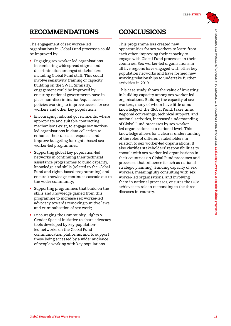# RECOMMENDATIONS

The engagement of sex worker-led organisations in Global Fund processes could be improved by:

- Engaging sex worker-led organisations in combating widespread stigma and discrimination amongst stakeholders including Global Fund staff. This could involve sensitivity training or capacity building on the SWIT. Similarly, engagement could be improved by ensuring national governments have in place non-discrimination/equal access policies working to improve access for sex workers and other key populations;
- Encouraging national governments, where appropriate and suitable contracting mechanisms exist, to engage sex workerled organisations in data collection to enhance their disease response, and improve budgeting for rights-based sex worker-led programmes;
- Supporting global key population-led networks in continuing their technical assistance programmes to build capacity, knowledge and skills (related to the Global Fund and rights-based programming) and ensure knowledge continues cascade out to the wider community;
- Supporting programmes that build on the skills and knowledge gained from this programme to increase sex worker-led advocacy towards removing punitive laws and criminalisation of sex work;
- Encouraging the Community, Rights & Gender Special Initiative to share advocacy tools developed by key populationled networks on the Global Fund communication platforms, and to support these being accessed by a wider audience of people working with key populations.

# CONCLUSIONS

This programme has created new opportunities for sex workers to learn from each other, improving their capacity to engage with Global Fund processes in their countries. Sex worker-led organisations in all five regions have engaged with other key population networks and have formed new working relationships to undertake further activities in 2019.

This case study shows the value of investing in building capacity among sex worker-led organisations. Building the capacity of sex workers, many of whom have little or no knowledge of the Global Fund, takes time. Regional convenings, technical support, and national activities, increased understanding of Global Fund processes by sex workerled organisations at a national level. This knowledge allows for a clearer understanding of the roles of different stakeholders in relation to sex worker-led organisations. It also clarifies stakeholders' responsibilities to consult with sex worker-led organisations in their countries (in Global Fund processes and processes that influence it such as national strategic planning). Building capacity of sex workers, meaningfully consulting with sex worker-led organisations, and involving them in national processes, ensures the CCM achieves its role in responding to the three diseases in-country.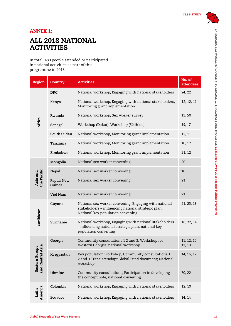

# ANNEX 1:

# ALL 2018 NATIONAL **ACTIVITIES**

In total, 480 people attended or participated in national activities as part of this programme in 2018.

| <b>Region</b>                                       | <b>Country</b>      | Activities                                                                                                                                        | No. of<br>attendees   |
|-----------------------------------------------------|---------------------|---------------------------------------------------------------------------------------------------------------------------------------------------|-----------------------|
| Africa                                              | <b>DRC</b>          | National workshop, Engaging with national stakeholders                                                                                            | 24, 22                |
|                                                     | Kenya               | National workshop, Engaging with national stakeholders,<br>Monitoring grant implementation                                                        | 12, 12, 11            |
|                                                     | Rwanda              | National workshop, Sex worker survey                                                                                                              | 13,50                 |
|                                                     | Senegal             | Workshop (Dakar), Workshop (Sédhiou)                                                                                                              | 19, 17                |
|                                                     | South Sudan         | National workshop, Monitoring grant implementation                                                                                                | 12, 11                |
|                                                     | Tanzania            | National workshop, Monitoring grant implementation                                                                                                | 10, 12                |
|                                                     | Zimbabwe            | National workshop, Monitoring grant implementation                                                                                                | 21, 12                |
| the Pacific<br>Asia and                             | Mongolia            | National sex worker convening                                                                                                                     | 20                    |
|                                                     | Nepal               | National sex worker convening                                                                                                                     | 10                    |
|                                                     | Papua New<br>Guinea | National sex worker convening                                                                                                                     | 21                    |
|                                                     | Viet Nam            | National sex worker convening                                                                                                                     | 21                    |
| Caribbean                                           | Guyana              | National sex worker convening, Engaging with national<br>stakeholders - influencing national strategic plan,<br>National key population convening | 21, 25, 18            |
|                                                     | Suriname            | National workshop, Engaging with national stakeholders<br>- influencing national strategic plan, national key<br>population convening             | 18, 32, 14            |
| Eastern Europe<br>and Central Asia<br>and Central A | Georgia             | Community consultations 1 2 and 3, Workshop for<br>Western Georgia, national workshop                                                             | 11, 12, 10,<br>11, 10 |
|                                                     | Kyrgyzstan          | Key population workshop, Community consultations 1,<br>2 and 3 Translate/adapt Global Fund document; National<br>workshop                         | 14, 16, 17            |
|                                                     | Ukraine             | Community consultations, Participation in developing<br>the concept note, national convening                                                      | 70, 22                |
| America<br>Latin                                    | Colombia            | National workshop, Engaging with national stakeholders                                                                                            | 12, 10                |
|                                                     | Ecuador             | National workshop, Engaging with national stakeholders                                                                                            | 14, 14                |